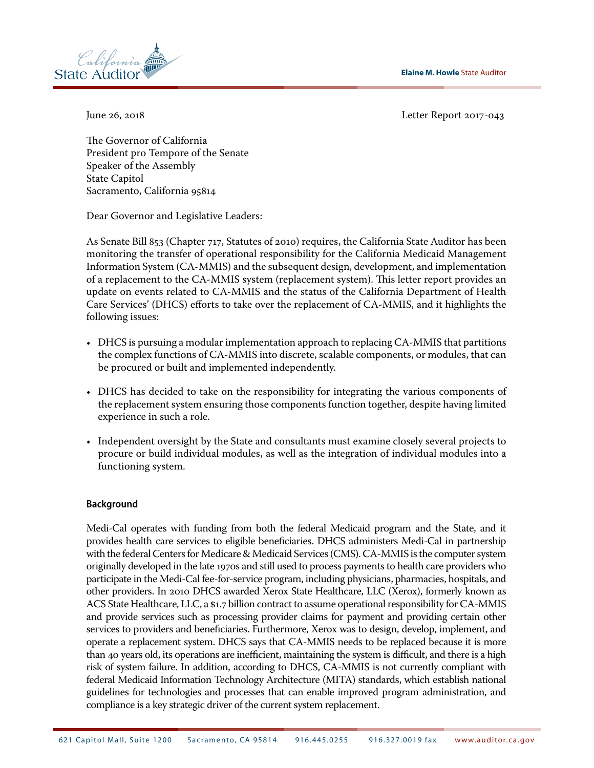**Elaine M. Howle** State Auditor



June 26, 2018 Letter Report 2017‑043

The Governor of California President pro Tempore of the Senate Speaker of the Assembly State Capitol Sacramento, California 95814

Dear Governor and Legislative Leaders:

As Senate Bill 853 (Chapter 717, Statutes of 2010) requires, the California State Auditor has been monitoring the transfer of operational responsibility for the California Medicaid Management Information System (CA-MMIS) and the subsequent design, development, and implementation of a replacement to the CA-MMIS system (replacement system). This letter report provides an update on events related to CA-MMIS and the status of the California Department of Health Care Services' (DHCS) efforts to take over the replacement of CA-MMIS, and it highlights the following issues:

- DHCS is pursuing a modular implementation approach to replacing CA-MMIS that partitions the complex functions of CA-MMIS into discrete, scalable components, or modules, that can be procured or built and implemented independently.
- DHCS has decided to take on the responsibility for integrating the various components of the replacement system ensuring those components function together, despite having limited experience in such a role.
- Independent oversight by the State and consultants must examine closely several projects to procure or build individual modules, as well as the integration of individual modules into a functioning system.

# **Background**

Medi-Cal operates with funding from both the federal Medicaid program and the State, and it provides health care services to eligible beneficiaries. DHCS administers Medi-Cal in partnership with the federal Centers for Medicare & Medicaid Services (CMS). CA-MMIS is the computer system originally developed in the late 1970s and still used to process payments to health care providers who participate in the Medi-Cal fee-for-service program, including physicians, pharmacies, hospitals, and other providers. In 2010 DHCS awarded Xerox State Healthcare, LLC (Xerox), formerly known as ACS State Healthcare, LLC, a \$1.7 billion contract to assume operational responsibility for CA-MMIS and provide services such as processing provider claims for payment and providing certain other services to providers and beneficiaries. Furthermore, Xerox was to design, develop, implement, and operate a replacement system. DHCS says that CA‑MMIS needs to be replaced because it is more than 40 years old, its operations are inefficient, maintaining the system is difficult, and there is a high risk of system failure. In addition, according to DHCS, CA‑MMIS is not currently compliant with federal Medicaid Information Technology Architecture (MITA) standards, which establish national guidelines for technologies and processes that can enable improved program administration, and compliance is a key strategic driver of the current system replacement.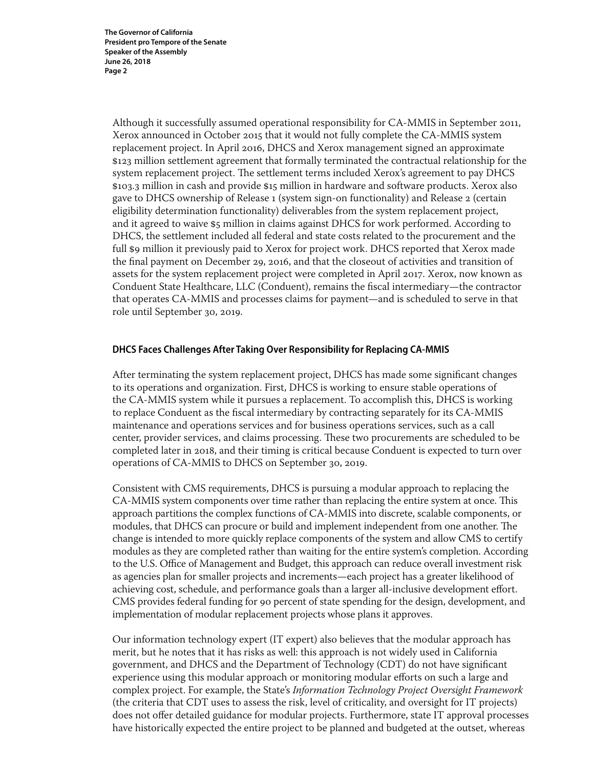Although it successfully assumed operational responsibility for CA-MMIS in September 2011, Xerox announced in October 2015 that it would not fully complete the CA-MMIS system replacement project. In April 2016, DHCS and Xerox management signed an approximate \$123 million settlement agreement that formally terminated the contractual relationship for the system replacement project. The settlement terms included Xerox's agreement to pay DHCS \$103.3 million in cash and provide \$15 million in hardware and software products. Xerox also gave to DHCS ownership of Release 1 (system sign-on functionality) and Release 2 (certain eligibility determination functionality) deliverables from the system replacement project, and it agreed to waive \$5 million in claims against DHCS for work performed. According to DHCS, the settlement included all federal and state costs related to the procurement and the full \$9 million it previously paid to Xerox for project work. DHCS reported that Xerox made the final payment on December 29, 2016, and that the closeout of activities and transition of assets for the system replacement project were completed in April 2017. Xerox, now known as Conduent State Healthcare, LLC (Conduent), remains the fiscal intermediary—the contractor that operates CA-MMIS and processes claims for payment—and is scheduled to serve in that role until September 30, 2019.

# **DHCS Faces Challenges After Taking Over Responsibility for Replacing CA-MMIS**

After terminating the system replacement project, DHCS has made some significant changes to its operations and organization. First, DHCS is working to ensure stable operations of the CA-MMIS system while it pursues a replacement. To accomplish this, DHCS is working to replace Conduent as the fiscal intermediary by contracting separately for its CA-MMIS maintenance and operations services and for business operations services, such as a call center, provider services, and claims processing. These two procurements are scheduled to be completed later in 2018, and their timing is critical because Conduent is expected to turn over operations of CA-MMIS to DHCS on September 30, 2019.

Consistent with CMS requirements, DHCS is pursuing a modular approach to replacing the CA-MMIS system components over time rather than replacing the entire system at once. This approach partitions the complex functions of CA-MMIS into discrete, scalable components, or modules, that DHCS can procure or build and implement independent from one another. The change is intended to more quickly replace components of the system and allow CMS to certify modules as they are completed rather than waiting for the entire system's completion. According to the U.S. Office of Management and Budget, this approach can reduce overall investment risk as agencies plan for smaller projects and increments—each project has a greater likelihood of achieving cost, schedule, and performance goals than a larger all-inclusive development effort. CMS provides federal funding for 90 percent of state spending for the design, development, and implementation of modular replacement projects whose plans it approves.

Our information technology expert (IT expert) also believes that the modular approach has merit, but he notes that it has risks as well: this approach is not widely used in California government, and DHCS and the Department of Technology (CDT) do not have significant experience using this modular approach or monitoring modular efforts on such a large and complex project. For example, the State's *Information Technology Project Oversight Framework* (the criteria that CDT uses to assess the risk, level of criticality, and oversight for IT projects) does not offer detailed guidance for modular projects. Furthermore, state IT approval processes have historically expected the entire project to be planned and budgeted at the outset, whereas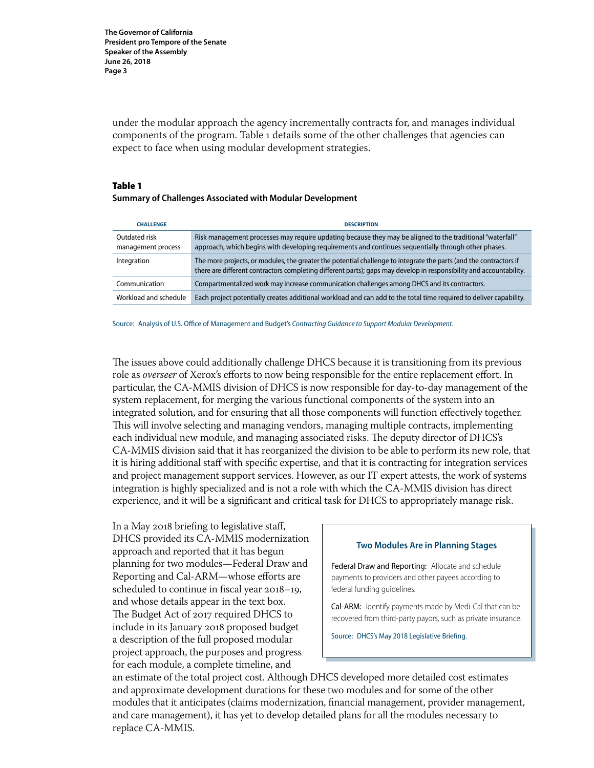under the modular approach the agency incrementally contracts for, and manages individual components of the program. Table 1 details some of the other challenges that agencies can expect to face when using modular development strategies.

#### Table 1 **Summary of Challenges Associated with Modular Development**

| <b>CHALLENGE</b>                    | <b>DESCRIPTION</b>                                                                                                                                                                                                                       |
|-------------------------------------|------------------------------------------------------------------------------------------------------------------------------------------------------------------------------------------------------------------------------------------|
| Outdated risk<br>management process | Risk management processes may require updating because they may be aligned to the traditional "waterfall"<br>approach, which begins with developing requirements and continues sequentially through other phases.                        |
| Integration                         | The more projects, or modules, the greater the potential challenge to integrate the parts (and the contractors if<br>there are different contractors completing different parts); gaps may develop in responsibility and accountability. |
| Communication                       | Compartmentalized work may increase communication challenges among DHCS and its contractors.                                                                                                                                             |
| Workload and schedule               | Each project potentially creates additional workload and can add to the total time required to deliver capability.                                                                                                                       |

Source: Analysis of U.S. Office of Management and Budget's *Contracting Guidance to Support Modular Development*.

The issues above could additionally challenge DHCS because it is transitioning from its previous role as *overseer* of Xerox's efforts to now being responsible for the entire replacement effort. In particular, the CA-MMIS division of DHCS is now responsible for day-to-day management of the system replacement, for merging the various functional components of the system into an integrated solution, and for ensuring that all those components will function effectively together. This will involve selecting and managing vendors, managing multiple contracts, implementing each individual new module, and managing associated risks. The deputy director of DHCS's CA-MMIS division said that it has reorganized the division to be able to perform its new role, that it is hiring additional staff with specific expertise, and that it is contracting for integration services and project management support services. However, as our IT expert attests, the work of systems integration is highly specialized and is not a role with which the CA-MMIS division has direct experience, and it will be a significant and critical task for DHCS to appropriately manage risk.

In a May 2018 briefing to legislative staff, DHCS provided its CA-MMIS modernization approach and reported that it has begun planning for two modules—Federal Draw and Reporting and Cal-ARM—whose efforts are scheduled to continue in fiscal year 2018–19, and whose details appear in the text box. The Budget Act of 2017 required DHCS to include in its January 2018 proposed budget a description of the full proposed modular project approach, the purposes and progress for each module, a complete timeline, and

#### **Two Modules Are in Planning Stages**

Federal Draw and Reporting: Allocate and schedule payments to providers and other payees according to federal funding guidelines.

Cal-ARM: Identify payments made by Medi-Cal that can be recovered from third‑party payors, such as private insurance.

Source: DHCS's May 2018 Legislative Briefing.

an estimate of the total project cost. Although DHCS developed more detailed cost estimates and approximate development durations for these two modules and for some of the other modules that it anticipates (claims modernization, financial management, provider management, and care management), it has yet to develop detailed plans for all the modules necessary to replace CA-MMIS.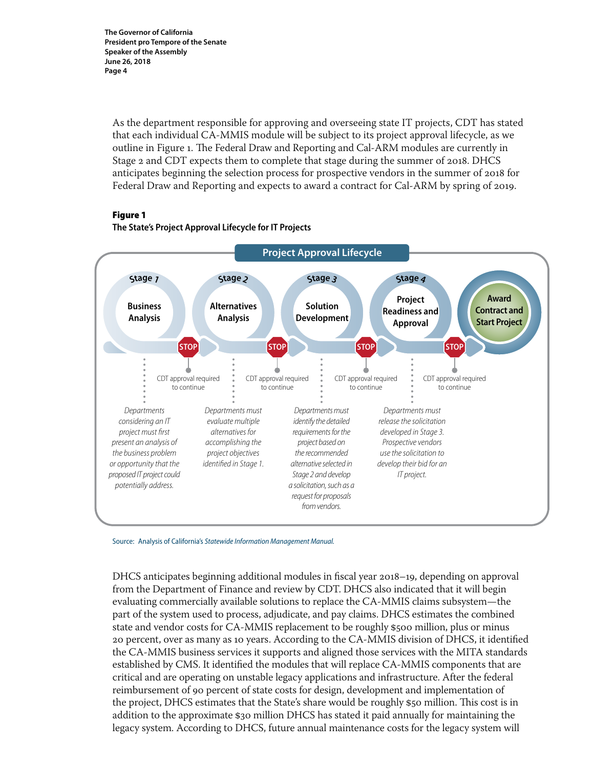As the department responsible for approving and overseeing state IT projects, CDT has stated that each individual CA-MMIS module will be subject to its project approval lifecycle, as we outline in Figure 1. The Federal Draw and Reporting and Cal-ARM modules are currently in Stage 2 and CDT expects them to complete that stage during the summer of 2018. DHCS anticipates beginning the selection process for prospective vendors in the summer of 2018 for Federal Draw and Reporting and expects to award a contract for Cal-ARM by spring of 2019.

## Figure 1





Source: Analysis of California's *Statewide Information Management Manual.*

DHCS anticipates beginning additional modules in fiscal year 2018–19, depending on approval from the Department of Finance and review by CDT. DHCS also indicated that it will begin evaluating commercially available solutions to replace the CA-MMIS claims subsystem—the part of the system used to process, adjudicate, and pay claims. DHCS estimates the combined state and vendor costs for CA-MMIS replacement to be roughly \$500 million, plus or minus 20 percent, over as many as 10 years. According to the CA-MMIS division of DHCS, it identified the CA-MMIS business services it supports and aligned those services with the MITA standards established by CMS. It identified the modules that will replace CA-MMIS components that are critical and are operating on unstable legacy applications and infrastructure. After the federal reimbursement of 90 percent of state costs for design, development and implementation of the project, DHCS estimates that the State's share would be roughly \$50 million. This cost is in addition to the approximate \$30 million DHCS has stated it paid annually for maintaining the legacy system. According to DHCS, future annual maintenance costs for the legacy system will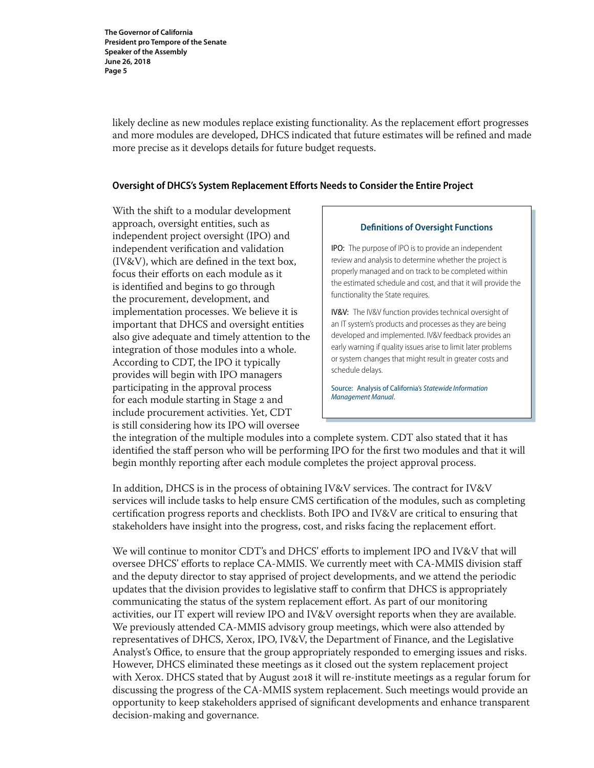likely decline as new modules replace existing functionality. As the replacement effort progresses and more modules are developed, DHCS indicated that future estimates will be refined and made more precise as it develops details for future budget requests.

## **Oversight of DHCS's System Replacement Efforts Needs to Consider the Entire Project**

With the shift to a modular development approach, oversight entities, such as independent project oversight (IPO) and independent verification and validation (IV&V), which are defined in the text box, focus their efforts on each module as it is identified and begins to go through the procurement, development, and implementation processes. We believe it is important that DHCS and oversight entities also give adequate and timely attention to the integration of those modules into a whole. According to CDT, the IPO it typically provides will begin with IPO managers participating in the approval process for each module starting in Stage 2 and include procurement activities. Yet, CDT is still considering how its IPO will oversee

#### **Definitions of Oversight Functions**

IPO: The purpose of IPO is to provide an independent review and analysis to determine whether the project is properly managed and on track to be completed within the estimated schedule and cost, and that it will provide the functionality the State requires.

IV&V: The IV&V function provides technical oversight of an IT system's products and processes as they are being developed and implemented. IV&V feedback provides an early warning if quality issues arise to limit later problems or system changes that might result in greater costs and schedule delays.

Source: Analysis of California's *Statewide Information Management Manual*.

the integration of the multiple modules into a complete system. CDT also stated that it has identified the staff person who will be performing IPO for the first two modules and that it will begin monthly reporting after each module completes the project approval process.

In addition, DHCS is in the process of obtaining IV&V services. The contract for IV&V services will include tasks to help ensure CMS certification of the modules, such as completing certification progress reports and checklists. Both IPO and IV&V are critical to ensuring that stakeholders have insight into the progress, cost, and risks facing the replacement effort.

We will continue to monitor CDT's and DHCS' efforts to implement IPO and IV&V that will oversee DHCS' efforts to replace CA-MMIS. We currently meet with CA-MMIS division staff and the deputy director to stay apprised of project developments, and we attend the periodic updates that the division provides to legislative staff to confirm that DHCS is appropriately communicating the status of the system replacement effort. As part of our monitoring activities, our IT expert will review IPO and IV&V oversight reports when they are available. We previously attended CA-MMIS advisory group meetings, which were also attended by representatives of DHCS, Xerox, IPO, IV&V, the Department of Finance, and the Legislative Analyst's Office, to ensure that the group appropriately responded to emerging issues and risks. However, DHCS eliminated these meetings as it closed out the system replacement project with Xerox. DHCS stated that by August 2018 it will re-institute meetings as a regular forum for discussing the progress of the CA-MMIS system replacement. Such meetings would provide an opportunity to keep stakeholders apprised of significant developments and enhance transparent decision-making and governance.